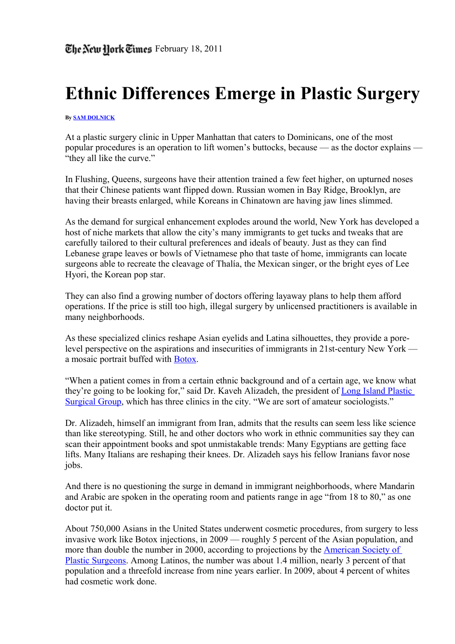## **Ethnic Differences Emerge in Plastic Surgery**

**By [SAM DOLNICK](http://topics.nytimes.com/top/reference/timestopics/people/d/sam_dolnick/index.html?inline=nyt-per)**

At a plastic surgery clinic in Upper Manhattan that caters to Dominicans, one of the most popular procedures is an operation to lift women's buttocks, because — as the doctor explains — "they all like the curve."

In Flushing, Queens, surgeons have their attention trained a few feet higher, on upturned noses that their Chinese patients want flipped down. Russian women in Bay Ridge, Brooklyn, are having their breasts enlarged, while Koreans in Chinatown are having jaw lines slimmed.

As the demand for surgical enhancement explodes around the world, New York has developed a host of niche markets that allow the city's many immigrants to get tucks and tweaks that are carefully tailored to their cultural preferences and ideals of beauty. Just as they can find Lebanese grape leaves or bowls of Vietnamese pho that taste of home, immigrants can locate surgeons able to recreate the cleavage of Thalía, the Mexican singer, or the bright eyes of Lee Hyori, the Korean pop star.

They can also find a growing number of doctors offering layaway plans to help them afford operations. If the price is still too high, illegal surgery by unlicensed practitioners is available in many neighborhoods.

As these specialized clinics reshape Asian eyelids and Latina silhouettes, they provide a porelevel perspective on the aspirations and insecurities of immigrants in 21st-century New York a mosaic portrait buffed with [Botox.](http://topics.nytimes.com/top/news/health/diseasesconditionsandhealthtopics/botox_drug/index.html?inline=nyt-classifier)

"When a patient comes in from a certain ethnic background and of a certain age, we know what they're going to be looking for," said Dr. Kaveh Alizadeh, the president of [Long Island Plastic](http://www.lipsg.com/) [Surgical Group,](http://www.lipsg.com/) which has three clinics in the city. "We are sort of amateur sociologists."

Dr. Alizadeh, himself an immigrant from Iran, admits that the results can seem less like science than like stereotyping. Still, he and other doctors who work in ethnic communities say they can scan their appointment books and spot unmistakable trends: Many Egyptians are getting face lifts. Many Italians are reshaping their knees. Dr. Alizadeh says his fellow Iranians favor nose jobs.

And there is no questioning the surge in demand in immigrant neighborhoods, where Mandarin and Arabic are spoken in the operating room and patients range in age "from 18 to 80," as one doctor put it.

About 750,000 Asians in the United States underwent cosmetic procedures, from surgery to less invasive work like Botox injections, in 2009 — roughly 5 percent of the Asian population, and more than double the number in 2000, according to projections by the [American Society of](http://www.plasticsurgery.org/) [Plastic Surgeons.](http://www.plasticsurgery.org/) Among Latinos, the number was about 1.4 million, nearly 3 percent of that population and a threefold increase from nine years earlier. In 2009, about 4 percent of whites had cosmetic work done.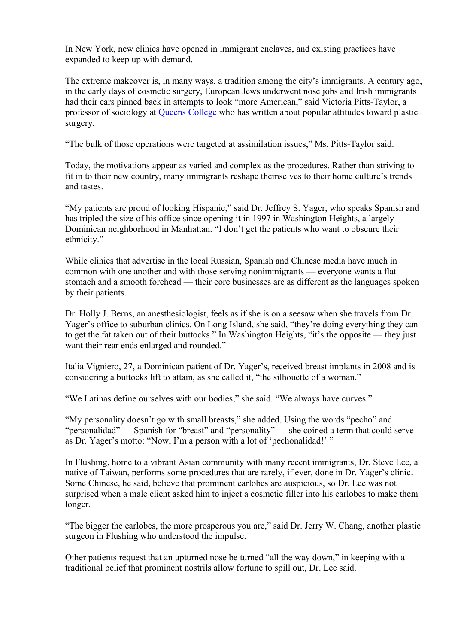In New York, new clinics have opened in immigrant enclaves, and existing practices have expanded to keep up with demand.

The extreme makeover is, in many ways, a tradition among the city's immigrants. A century ago, in the early days of cosmetic surgery, European Jews underwent nose jobs and Irish immigrants had their ears pinned back in attempts to look "more American," said Victoria Pitts-Taylor, a professor of sociology at **Queens College** who has written about popular attitudes toward plastic surgery.

"The bulk of those operations were targeted at assimilation issues," Ms. Pitts-Taylor said.

Today, the motivations appear as varied and complex as the procedures. Rather than striving to fit in to their new country, many immigrants reshape themselves to their home culture's trends and tastes.

"My patients are proud of looking Hispanic," said Dr. Jeffrey S. Yager, who speaks Spanish and has tripled the size of his office since opening it in 1997 in Washington Heights, a largely Dominican neighborhood in Manhattan. "I don't get the patients who want to obscure their ethnicity."

While clinics that advertise in the local Russian, Spanish and Chinese media have much in common with one another and with those serving nonimmigrants — everyone wants a flat stomach and a smooth forehead — their core businesses are as different as the languages spoken by their patients.

Dr. Holly J. Berns, an anesthesiologist, feels as if she is on a seesaw when she travels from Dr. Yager's office to suburban clinics. On Long Island, she said, "they're doing everything they can to get the fat taken out of their buttocks." In Washington Heights, "it's the opposite — they just want their rear ends enlarged and rounded."

Italia Vigniero, 27, a Dominican patient of Dr. Yager's, received breast implants in 2008 and is considering a buttocks lift to attain, as she called it, "the silhouette of a woman."

"We Latinas define ourselves with our bodies," she said. "We always have curves."

"My personality doesn't go with small breasts," she added. Using the words "pecho" and "personalidad" — Spanish for "breast" and "personality" — she coined a term that could serve as Dr. Yager's motto: "Now, I'm a person with a lot of 'pechonalidad!' "

In Flushing, home to a vibrant Asian community with many recent immigrants, Dr. Steve Lee, a native of Taiwan, performs some procedures that are rarely, if ever, done in Dr. Yager's clinic. Some Chinese, he said, believe that prominent earlobes are auspicious, so Dr. Lee was not surprised when a male client asked him to inject a cosmetic filler into his earlobes to make them longer.

"The bigger the earlobes, the more prosperous you are," said Dr. Jerry W. Chang, another plastic surgeon in Flushing who understood the impulse.

Other patients request that an upturned nose be turned "all the way down," in keeping with a traditional belief that prominent nostrils allow fortune to spill out, Dr. Lee said.